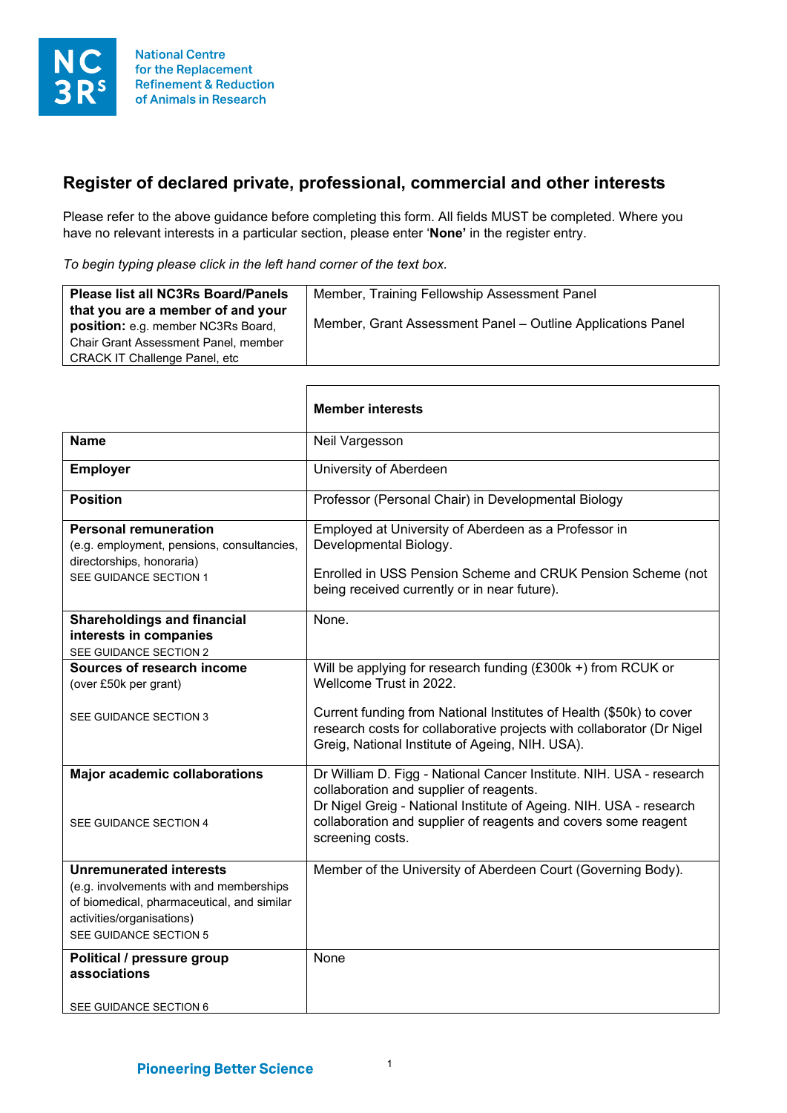

## **Register of declared private, professional, commercial and other interests**

Please refer to the above guidance before completing this form. All fields MUST be completed. Where you have no relevant interests in a particular section, please enter '**None'** in the register entry.

*To begin typing please click in the left hand corner of the text box.*

 $\overline{\phantom{a}}$ 

| <b>Please list all NC3Rs Board/Panels</b>                                      | Member, Training Fellowship Assessment Panel                |
|--------------------------------------------------------------------------------|-------------------------------------------------------------|
| that you are a member of and your<br><b>position:</b> e.g. member NC3Rs Board, | Member, Grant Assessment Panel - Outline Applications Panel |
| <b>Chair Grant Assessment Panel, member</b>                                    |                                                             |
| <b>CRACK IT Challenge Panel, etc</b>                                           |                                                             |

|                                                                                                                                                                                | <b>Member interests</b>                                                                                                                                                                                                                                                    |
|--------------------------------------------------------------------------------------------------------------------------------------------------------------------------------|----------------------------------------------------------------------------------------------------------------------------------------------------------------------------------------------------------------------------------------------------------------------------|
| <b>Name</b>                                                                                                                                                                    | Neil Vargesson                                                                                                                                                                                                                                                             |
| <b>Employer</b>                                                                                                                                                                | University of Aberdeen                                                                                                                                                                                                                                                     |
| <b>Position</b>                                                                                                                                                                | Professor (Personal Chair) in Developmental Biology                                                                                                                                                                                                                        |
| <b>Personal remuneration</b><br>(e.g. employment, pensions, consultancies,<br>directorships, honoraria)<br>SEE GUIDANCE SECTION 1                                              | Employed at University of Aberdeen as a Professor in<br>Developmental Biology.<br>Enrolled in USS Pension Scheme and CRUK Pension Scheme (not<br>being received currently or in near future).                                                                              |
| <b>Shareholdings and financial</b><br>interests in companies<br>SEE GUIDANCE SECTION 2                                                                                         | None.                                                                                                                                                                                                                                                                      |
| Sources of research income<br>(over £50k per grant)                                                                                                                            | Will be applying for research funding (£300k +) from RCUK or<br>Wellcome Trust in 2022.                                                                                                                                                                                    |
| SEE GUIDANCE SECTION 3                                                                                                                                                         | Current funding from National Institutes of Health (\$50k) to cover<br>research costs for collaborative projects with collaborator (Dr Nigel<br>Greig, National Institute of Ageing, NIH. USA).                                                                            |
| <b>Major academic collaborations</b><br>SEE GUIDANCE SECTION 4                                                                                                                 | Dr William D. Figg - National Cancer Institute. NIH. USA - research<br>collaboration and supplier of reagents.<br>Dr Nigel Greig - National Institute of Ageing. NIH. USA - research<br>collaboration and supplier of reagents and covers some reagent<br>screening costs. |
| <b>Unremunerated interests</b><br>(e.g. involvements with and memberships<br>of biomedical, pharmaceutical, and similar<br>activities/organisations)<br>SEE GUIDANCE SECTION 5 | Member of the University of Aberdeen Court (Governing Body).                                                                                                                                                                                                               |
| Political / pressure group<br>associations<br>SEE GUIDANCE SECTION 6                                                                                                           | None                                                                                                                                                                                                                                                                       |